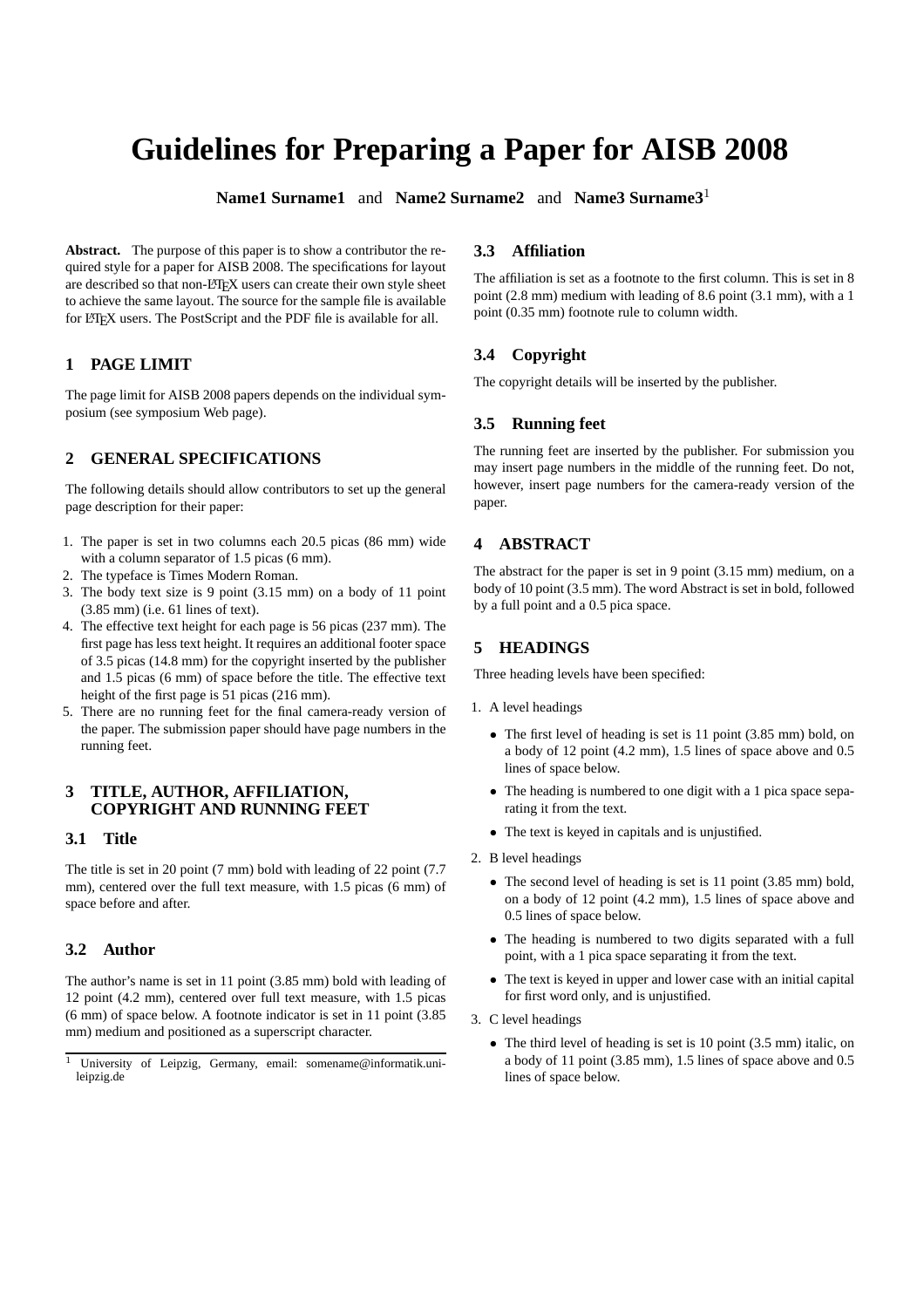# **Guidelines for Preparing a Paper for AISB 2008**

**Name1 Surname1** and **Name2 Surname2** and **Name3 Surname3**<sup>1</sup>

**Abstract.** The purpose of this paper is to show a contributor the required style for a paper for AISB 2008. The specifications for layout are described so that non-LATEX users can create their own style sheet to achieve the same layout. The source for the sample file is available for LATEX users. The PostScript and the PDF file is available for all.

# **1 PAGE LIMIT**

The page limit for AISB 2008 papers depends on the individual symposium (see symposium Web page).

# **2 GENERAL SPECIFICATIONS**

The following details should allow contributors to set up the general page description for their paper:

- 1. The paper is set in two columns each 20.5 picas (86 mm) wide with a column separator of 1.5 picas (6 mm).
- 2. The typeface is Times Modern Roman.
- 3. The body text size is 9 point (3.15 mm) on a body of 11 point (3.85 mm) (i.e. 61 lines of text).
- 4. The effective text height for each page is 56 picas (237 mm). The first page has less text height. It requires an additional footer space of 3.5 picas (14.8 mm) for the copyright inserted by the publisher and 1.5 picas (6 mm) of space before the title. The effective text height of the first page is 51 picas (216 mm).
- 5. There are no running feet for the final camera-ready version of the paper. The submission paper should have page numbers in the running feet.

#### **3 TITLE, AUTHOR, AFFILIATION, COPYRIGHT AND RUNNING FEET**

# **3.1 Title**

The title is set in 20 point (7 mm) bold with leading of 22 point (7.7 mm), centered over the full text measure, with 1.5 picas (6 mm) of space before and after.

# **3.2 Author**

The author's name is set in 11 point (3.85 mm) bold with leading of 12 point (4.2 mm), centered over full text measure, with 1.5 picas (6 mm) of space below. A footnote indicator is set in 11 point (3.85 mm) medium and positioned as a superscript character.

# **3.3 Affiliation**

The affiliation is set as a footnote to the first column. This is set in 8 point (2.8 mm) medium with leading of 8.6 point (3.1 mm), with a 1 point (0.35 mm) footnote rule to column width.

# **3.4 Copyright**

The copyright details will be inserted by the publisher.

# **3.5 Running feet**

The running feet are inserted by the publisher. For submission you may insert page numbers in the middle of the running feet. Do not, however, insert page numbers for the camera-ready version of the paper.

# **4 ABSTRACT**

The abstract for the paper is set in 9 point (3.15 mm) medium, on a body of 10 point (3.5 mm). The word Abstract is set in bold, followed by a full point and a 0.5 pica space.

# **5 HEADINGS**

Three heading levels have been specified:

- 1. A level headings
	- The first level of heading is set is 11 point (3.85 mm) bold, on a body of 12 point (4.2 mm), 1.5 lines of space above and 0.5 lines of space below.
	- The heading is numbered to one digit with a 1 pica space separating it from the text.
	- The text is keyed in capitals and is unjustified.
- 2. B level headings
	- The second level of heading is set is 11 point (3.85 mm) bold, on a body of 12 point (4.2 mm), 1.5 lines of space above and 0.5 lines of space below.
	- The heading is numbered to two digits separated with a full point, with a 1 pica space separating it from the text.
	- The text is keyed in upper and lower case with an initial capital for first word only, and is unjustified.
- 3. C level headings
	- The third level of heading is set is 10 point (3.5 mm) italic, on a body of 11 point (3.85 mm), 1.5 lines of space above and 0.5 lines of space below.

University of Leipzig, Germany, email: somename@informatik.unileipzig.de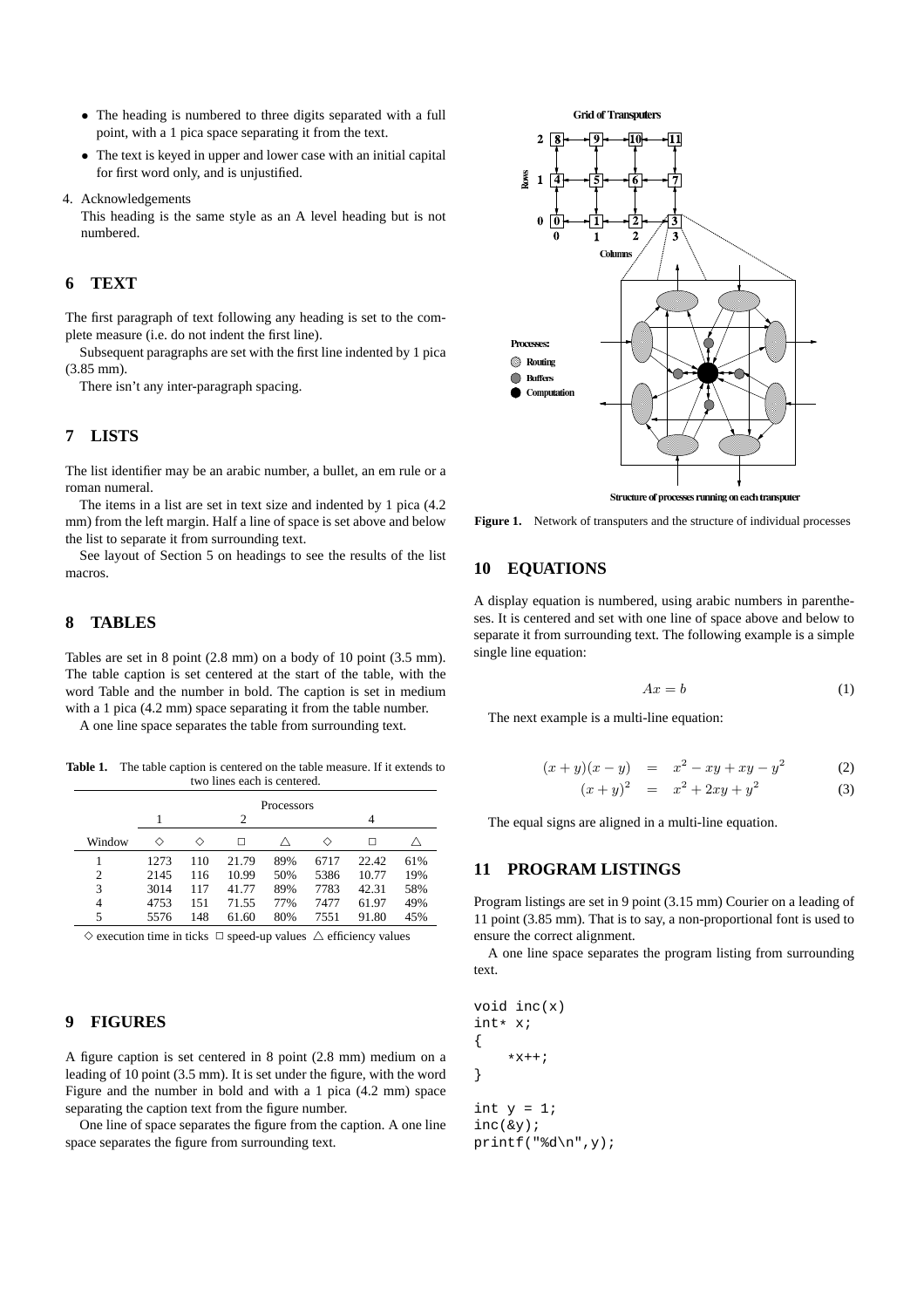- The heading is numbered to three digits separated with a full point, with a 1 pica space separating it from the text.
- The text is keyed in upper and lower case with an initial capital for first word only, and is unjustified.
- 4. Acknowledgements

This heading is the same style as an A level heading but is not numbered.

# **6 TEXT**

The first paragraph of text following any heading is set to the complete measure (i.e. do not indent the first line).

Subsequent paragraphs are set with the first line indented by 1 pica (3.85 mm).

There isn't any inter-paragraph spacing.

#### **7 LISTS**

The list identifier may be an arabic number, a bullet, an em rule or a roman numeral.

The items in a list are set in text size and indented by 1 pica (4.2 mm) from the left margin. Half a line of space is set above and below the list to separate it from surrounding text.

See layout of Section 5 on headings to see the results of the list macros.

# **8 TABLES**

Tables are set in 8 point (2.8 mm) on a body of 10 point (3.5 mm). The table caption is set centered at the start of the table, with the word Table and the number in bold. The caption is set in medium with a 1 pica  $(4.2 \text{ mm})$  space separating it from the table number.

A one line space separates the table from surrounding text.

Table 1. The table caption is centered on the table measure. If it extends to two lines each is centered.

|                | Processors |     |       |     |      |       |     |
|----------------|------------|-----|-------|-----|------|-------|-----|
|                |            | 2   |       |     |      |       |     |
| Window         | ◇          | ◇   | □     |     | ◇    |       |     |
|                | 1273       | 110 | 21.79 | 89% | 6717 | 22.42 | 61% |
| $\overline{c}$ | 2145       | 116 | 10.99 | 50% | 5386 | 10.77 | 19% |
| 3              | 3014       | 117 | 41.77 | 89% | 7783 | 42.31 | 58% |
| 4              | 4753       | 151 | 71.55 | 77% | 7477 | 61.97 | 49% |
| 5              | 5576       | 148 | 61.60 | 80% | 7551 | 91.80 | 45% |

 $\diamond$  execution time in ticks  $\Box$  speed-up values  $\triangle$  efficiency values

#### **9 FIGURES**

A figure caption is set centered in 8 point (2.8 mm) medium on a leading of 10 point (3.5 mm). It is set under the figure, with the word Figure and the number in bold and with a 1 pica (4.2 mm) space separating the caption text from the figure number.

One line of space separates the figure from the caption. A one line space separates the figure from surrounding text.



Figure 1. Network of transputers and the structure of individual processes

## **10 EQUATIONS**

A display equation is numbered, using arabic numbers in parentheses. It is centered and set with one line of space above and below to separate it from surrounding text. The following example is a simple single line equation:

$$
Ax = b \tag{1}
$$

The next example is a multi-line equation:

$$
(x+y)(x-y) = x2 - xy + xy - y2 (2)
$$
  
\n
$$
(x+y)2 = x2 + 2xy + y2 (3)
$$

The equal signs are aligned in a multi-line equation.

#### **11 PROGRAM LISTINGS**

Program listings are set in 9 point (3.15 mm) Courier on a leading of 11 point (3.85 mm). That is to say, a non-proportional font is used to ensure the correct alignment.

A one line space separates the program listing from surrounding text.

void inc(x) int\* x; {  $*x++;$ } int  $y = 1$ ; inc(&y); printf("%d\n", $y$ );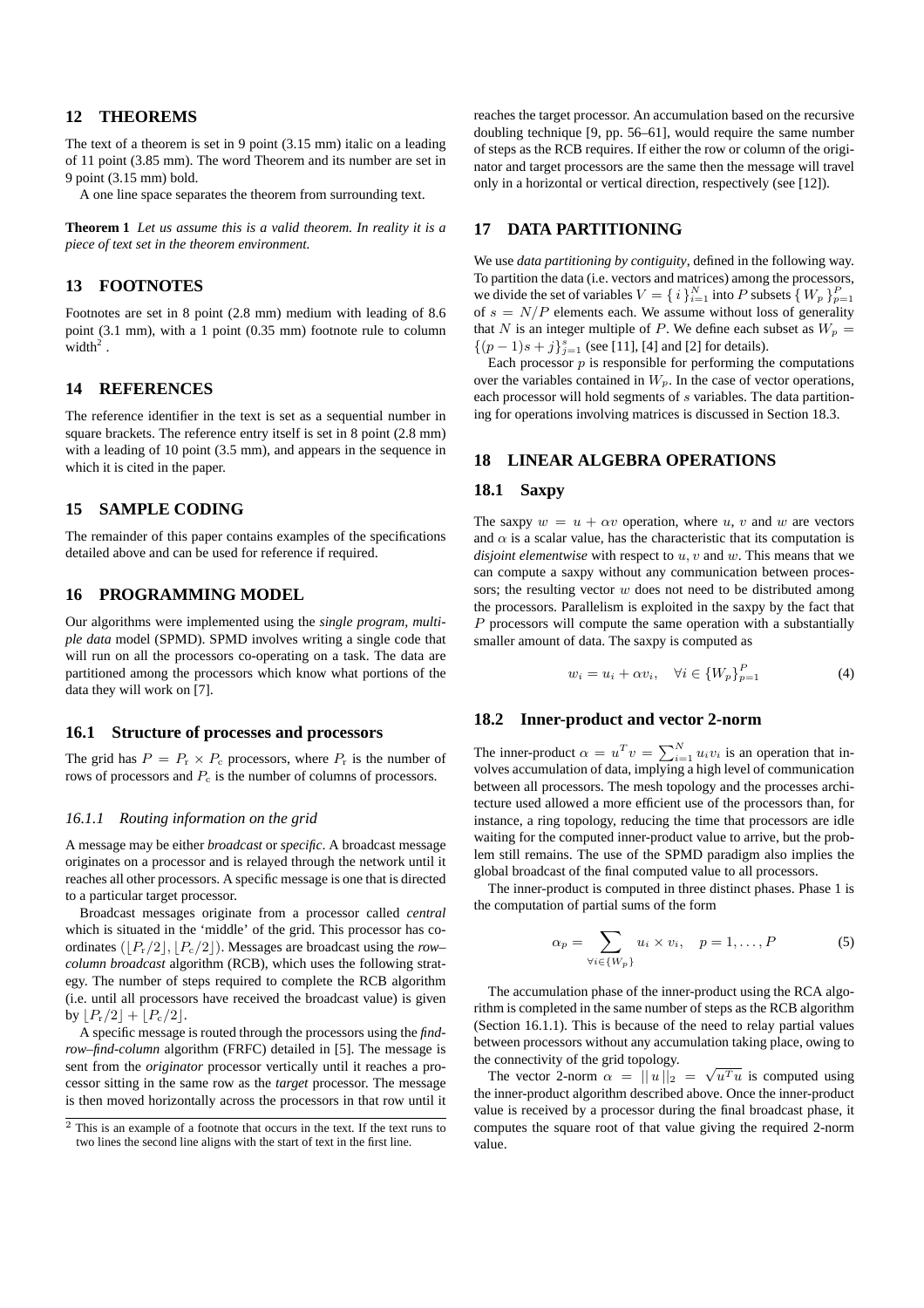# **12 THEOREMS**

The text of a theorem is set in 9 point (3.15 mm) italic on a leading of 11 point (3.85 mm). The word Theorem and its number are set in 9 point (3.15 mm) bold.

A one line space separates the theorem from surrounding text.

**Theorem 1** *Let us assume this is a valid theorem. In reality it is a piece of text set in the theorem environment.*

# **13 FOOTNOTES**

Footnotes are set in 8 point (2.8 mm) medium with leading of 8.6 point (3.1 mm), with a 1 point (0.35 mm) footnote rule to column width $2$ .

# **14 REFERENCES**

The reference identifier in the text is set as a sequential number in square brackets. The reference entry itself is set in 8 point (2.8 mm) with a leading of 10 point (3.5 mm), and appears in the sequence in which it is cited in the paper.

#### **15 SAMPLE CODING**

The remainder of this paper contains examples of the specifications detailed above and can be used for reference if required.

# **16 PROGRAMMING MODEL**

Our algorithms were implemented using the *single program, multiple data* model (SPMD). SPMD involves writing a single code that will run on all the processors co-operating on a task. The data are partitioned among the processors which know what portions of the data they will work on [7].

#### **16.1 Structure of processes and processors**

The grid has  $P = P_r \times P_c$  processors, where  $P_r$  is the number of rows of processors and  $P_c$  is the number of columns of processors.

#### *16.1.1 Routing information on the grid*

A message may be either *broadcast* or *specific*. A broadcast message originates on a processor and is relayed through the network until it reaches all other processors. A specific message is one that is directed to a particular target processor.

Broadcast messages originate from a processor called *central* which is situated in the 'middle' of the grid. This processor has coordinates  $(|P_r/2|, |P_c/2|)$ . Messages are broadcast using the *row– column broadcast* algorithm (RCB), which uses the following strategy. The number of steps required to complete the RCB algorithm (i.e. until all processors have received the broadcast value) is given by  $|P_r/2| + |P_c/2|$ .

A specific message is routed through the processors using the *findrow–find-column* algorithm (FRFC) detailed in [5]. The message is sent from the *originator* processor vertically until it reaches a processor sitting in the same row as the *target* processor. The message is then moved horizontally across the processors in that row until it reaches the target processor. An accumulation based on the recursive doubling technique [9, pp. 56–61], would require the same number of steps as the RCB requires. If either the row or column of the originator and target processors are the same then the message will travel only in a horizontal or vertical direction, respectively (see [12]).

#### **17 DATA PARTITIONING**

We use *data partitioning by contiguity*, defined in the following way. To partition the data (i.e. vectors and matrices) among the processors, we divide the set of variables  $V = \{i\}_{i=1}^{N}$  into P subsets  $\{W_p\}_{p=1}^{P}$ of  $s = N/P$  elements each. We assume without loss of generality that N is an integer multiple of P. We define each subset as  $W_p =$  $\{(p-1)s + j\}_{j=1}^{s}$  (see [11], [4] and [2] for details).

Each processor  $p$  is responsible for performing the computations over the variables contained in  $W_p$ . In the case of vector operations, each processor will hold segments of  $s$  variables. The data partitioning for operations involving matrices is discussed in Section 18.3.

#### **18 LINEAR ALGEBRA OPERATIONS**

#### **18.1 Saxpy**

The saxpy  $w = u + \alpha v$  operation, where u, v and w are vectors and  $\alpha$  is a scalar value, has the characteristic that its computation is *disjoint elementwise* with respect to u, v and w. This means that we can compute a saxpy without any communication between processors; the resulting vector  $w$  does not need to be distributed among the processors. Parallelism is exploited in the saxpy by the fact that  $P$  processors will compute the same operation with a substantially smaller amount of data. The saxpy is computed as

$$
w_i = u_i + \alpha v_i, \quad \forall i \in \{W_p\}_{p=1}^P
$$
 (4)

#### **18.2 Inner-product and vector 2-norm**

The inner-product  $\alpha = u^T v = \sum_{i=1}^N u_i v_i$  is an operation that involves accumulation of data, implying a high level of communication between all processors. The mesh topology and the processes architecture used allowed a more efficient use of the processors than, for instance, a ring topology, reducing the time that processors are idle waiting for the computed inner-product value to arrive, but the problem still remains. The use of the SPMD paradigm also implies the global broadcast of the final computed value to all processors.

The inner-product is computed in three distinct phases. Phase 1 is the computation of partial sums of the form

$$
\alpha_p = \sum_{\forall i \in \{W_p\}} u_i \times v_i, \quad p = 1, \dots, P \tag{5}
$$

The accumulation phase of the inner-product using the RCA algorithm is completed in the same number of steps as the RCB algorithm (Section 16.1.1). This is because of the need to relay partial values between processors without any accumulation taking place, owing to the connectivity of the grid topology.

The vector 2-norm  $\alpha = ||u||_2 = \sqrt{u^T u}$  is computed using the inner-product algorithm described above. Once the inner-product value is received by a processor during the final broadcast phase, it computes the square root of that value giving the required 2-norm value.

 $\frac{2}{7}$  This is an example of a footnote that occurs in the text. If the text runs to two lines the second line aligns with the start of text in the first line.